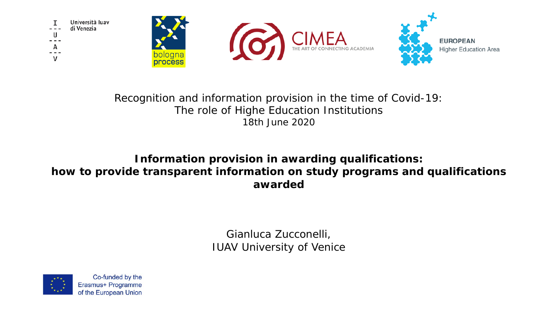

#### Recognition and information provision in the time of Covid-19: The role of Highe Education Institutions 18th June 2020

#### **Information provision in awarding qualifications: how to provide transparent information on study programs and qualifications awarded**

Gianluca Zucconelli, IUAV University of Venice

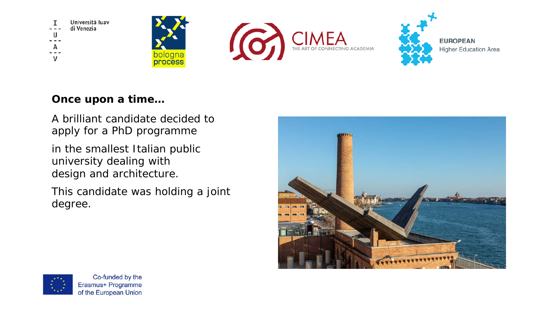

**Once upon a time…**

A brilliant candidate decided to apply for a PhD programme

in the smallest Italian public university dealing with design and architecture.

This candidate was holding a joint degree.





Co-funded by the Erasmus+ Programme of the European Union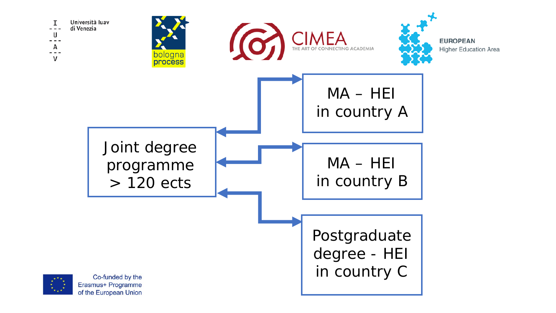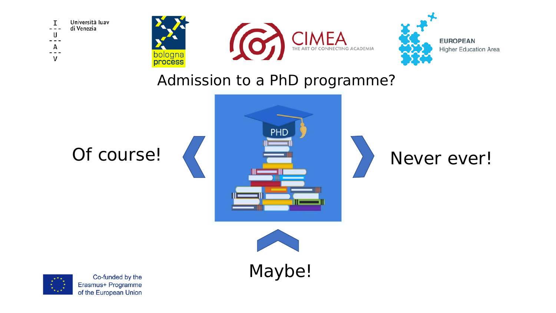







### Admission to a PhD programme?







Maybe!

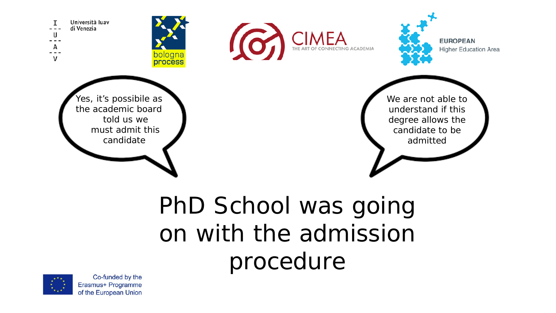

## PhD School was going on with the admission procedure

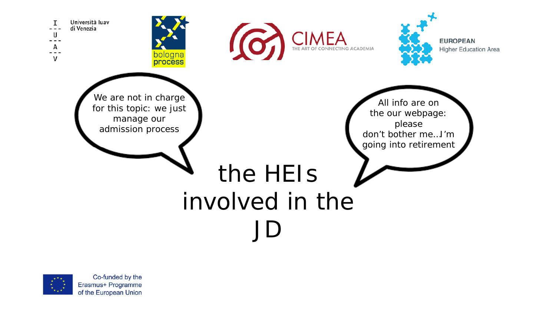

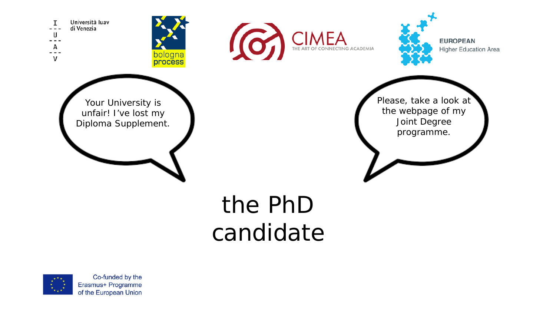Università luav I di Venezia  $- - -$ U ---А  $- - \mathsf{V}$ 







Your University is unfair! I've lost my Diploma Supplement. Please, take a look at the webpage of my Joint Degree programme.

# the PhD candidate

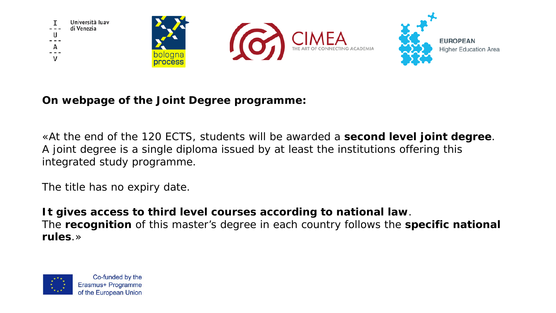

**On webpage of the Joint Degree programme:**

«At the end of the 120 ECTS, students will be awarded a **second level joint degree**. A joint degree is a single diploma issued by at least the institutions offering this integrated study programme.

The title has no expiry date.

**It gives access to third level courses according to national law**. The **recognition** of this master's degree in each country follows the **specific national rules**.»

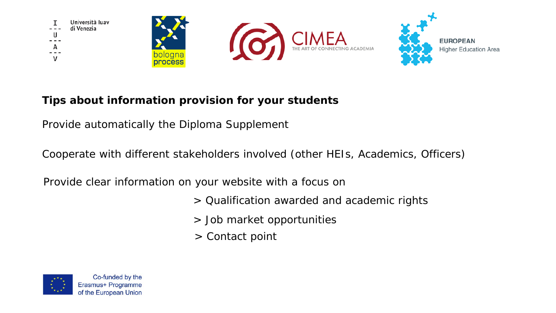

**Tips about information provision for your students**

Provide automatically the Diploma Supplement

Cooperate with different stakeholders involved (other HEIs, Academics, Officers)

Provide clear information on your website with a focus on

- > Qualification awarded and academic rights
- > Job market opportunities
- > Contact point